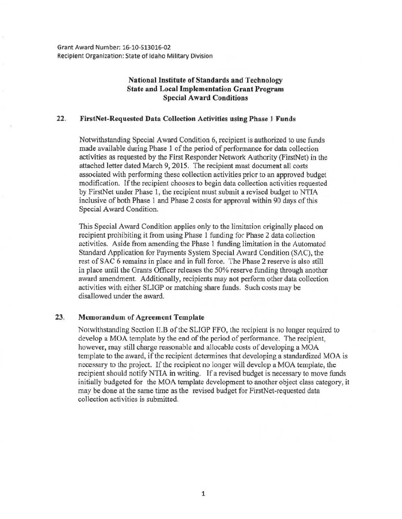Grant Award Number: 16-10-513016-0l Recipient Organization: State of Idaho Military Division

## National Institute of Standards and Technology State and Local Implementation Grant Program Special Award Conditions

## 22. FirstNet-Requested Data Collection Activities using Phase 1 Funds

Notwithstanding Special Award Condition 6, recipient is authorized to use funds made available during Phase 1 of the period of performance for data collection activities as requested by the First Responder Network Authority (FirstNet) in the attached letter dated March 9, 2015. The recipient must document all costs associated with performing these collection activities prior to an approved budget modification. If the recipient chooses to begin data collection activities requested by FirstNet under Phase 1, the recipient must submit a revised budget to NTIA inclusive of both Phase 1 and Phase 2 costs for approval within 90 days of this Special Award Condition.

This Special Award Condition applies only to the limitation originally placed on recipient prohibiting it from using Phase 1 funding for Phase 2 data collection activities. Aside from amending the Phase 1 funding limitation in the Automated Standard Application for Payments System Special Award Condition (SAC), the rest of SAC 6 remains in place and in full force. The Phase 2 reserve is also still in place until the Grants Officer releases the 50% reserve funding through another award amendment. Additionally, recipients may not perform other data collection activities with either SLIGP or matching share funds. Such costs may be disallowed under the award.

## 23. Memorandum of Agreement Template

Notwithstanding Section ILB of the SLIGP FFO, the recipient is no longer required to develop a MOA template by the end of the period of performance. The recipient, however, may still charge reasonable and allocable costs of developing a MOA template to the award, if the recipient determines that developing a standardized MOA is necessary to the project. If the recipient no longer will develop a MOA template, the recipient should notify NTIA in writing. If a revised budget is necessary to move funds initially budgeted for the MOA template development to another object class category, it may be done at the same time as the revised budget for FirstNet-requested data collection activities is submitted.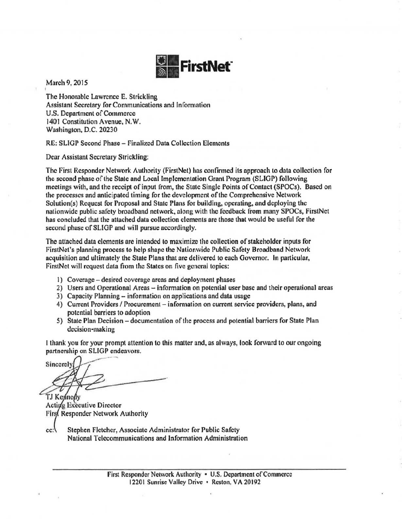

March 9, 2015

The Honorable Lawrence E. Strickling Assistant Secretary for Communications and Information U.S. Department of Commerce 1401 Constitution Avenue, N.W. Washington, D.C. 20230

RE: SLIGP Second Phase - Finalized Data Collection Elements

Dear Assistant Secretary Strickling:

The First Responder Network Authority (FirstNet) has confirmed its approach to data collection for the second phase of the State and Local Implementation Grant Program (SLIGP) following meetings with, and the receipt of input from, the State Single Points of Contact (SPOCs). Based on the processes and anticipated timing for the development of the Comprehensive Network Solution(s) Request for Proposal and State Plans for building, operating. and deploying the nationwide public safety broadband network, along with the feedback from many SPOCs, FirstNet has concluded that the attached data collection elements are those that would be useful for the second phase of SLIGP and will pursue accordingly.

The attached data elements are intended to maximize the collection of stakeholder inputs for FirstNet's planning process to help shape the Nationwide Public Safety Broadband Network acquisition and ultimately the State Plans that are delivered to each Governor. In particular, FirstNet will request data from the States on five general topies:

- I) Coverage- desired coverage areas and deployment phases
- 2) Users and Operational Areas- information on potential user base and their operational areas
- 3) Capacity Planning- information on applications and data usage
- 4) Current Providers / Procurement information on current service providers, plans, and potential barriers to adoption
- 5) State Plan Decision documentation of the process and potential barriers for State Plan decision-making

I thank you for your prompt attention to this matter and, as always, took forward to our ongoing partnership on SLIGP endeavors.

Sincerely TJ Kennedy

**Active Executive Director** First Responder Network Authority

cc: Stephen Fletcher, Associate Administrator for Public Safety National Telecommunications and Information Administration